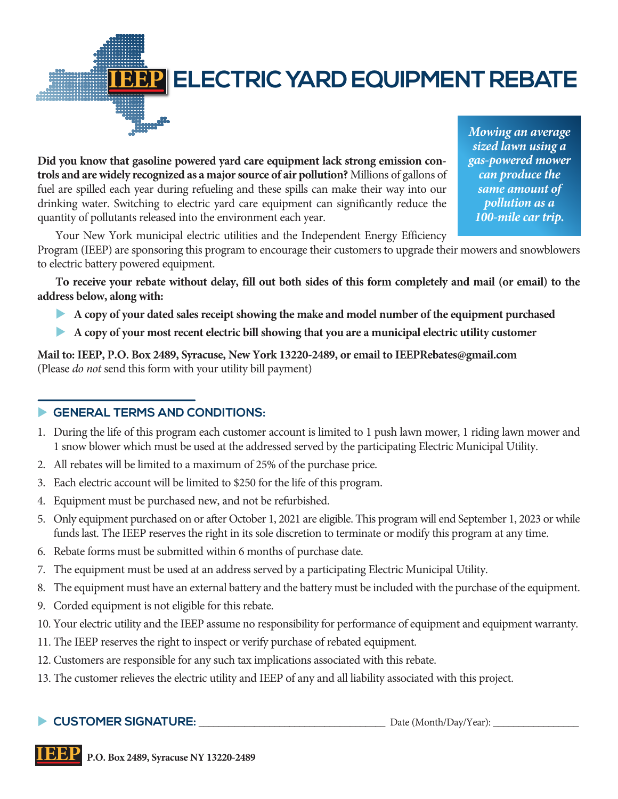

# **IBBP** ELECTRIC YARD EQUIPMENT REBATE

**Did you know that gasoline powered yard care equipment lack strong emission controls and are widely recognized as a major source of air pollution?** Millions of gallons of fuel are spilled each year during refueling and these spills can make their way into our drinking water. Switching to electric yard care equipment can significantly reduce the quantity of pollutants released into the environment each year.

*Mowing an average sized lawn using a gas-powered mower can produce the same amount of pollution as a 100-mile car trip.*

Your New York municipal electric utilities and the Independent Energy Efficiency

Program (IEEP) are sponsoring this program to encourage their customers to upgrade their mowers and snowblowers to electric battery powered equipment.

**To receive your rebate without delay, fill out both sides of this form completely and mail (or email) to the address below, along with:**

- u **A copy of your dated sales receipt showing the make and model number of the equipment purchased**
- **A copy of your most recent electric bill showing that you are a municipal electric utility customer**

**Mail to: IEEP, P.O. Box 2489, Syracuse, New York 13220-2489, or email to IEEPRebates@gmail.com**  (Please *do not* send this form with your utility bill payment)

### **EXECUTERMS AND CONDITIONS:**

- 1. During the life of this program each customer account is limited to 1 push lawn mower, 1 riding lawn mower and 1 snow blower which must be used at the addressed served by the participating Electric Municipal Utility.
- 2. All rebates will be limited to a maximum of 25% of the purchase price.
- 3. Each electric account will be limited to \$250 for the life of this program.
- 4. Equipment must be purchased new, and not be refurbished.
- 5. Only equipment purchased on or after October 1, 2021 are eligible. This program will end September 1, 2023 or while funds last. The IEEP reserves the right in its sole discretion to terminate or modify this program at any time.
- 6. Rebate forms must be submitted within 6 months of purchase date.
- 7. The equipment must be used at an address served by a participating Electric Municipal Utility.
- 8. The equipment must have an external battery and the battery must be included with the purchase of the equipment.
- 9. Corded equipment is not eligible for this rebate.
- 10. Your electric utility and the IEEP assume no responsibility for performance of equipment and equipment warranty.
- 11. The IEEP reserves the right to inspect or verify purchase of rebated equipment.
- 12. Customers are responsible for any such tax implications associated with this rebate.
- 13. The customer relieves the electric utility and IEEP of any and all liability associated with this project.

### **CUSTOMER SIGNATURE:**  $\qquad \qquad \text{Date (Month/Day/Year):}$